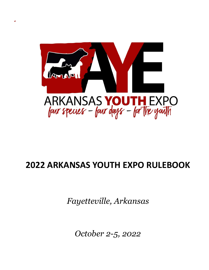

## **2022 ARKANSAS YOUTH EXPO RULEBOOK**

*Fayetteville, Arkansas*

*October 2-5, 2022*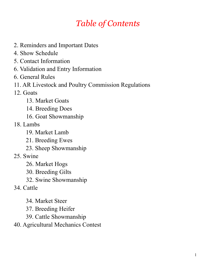## *Table of Contents*

- 2. Reminders and Important Dates
- 4. Show Schedule
- 5. Contact Information
- 6. Validation and Entry Information
- 6. General Rules
- 11. AR Livestock and Poultry Commission Regulations
- 12. Goats
	- 13. Market Goats
	- 14. Breeding Does
	- 16. Goat Showmanship
- 18. Lambs
	- 19. Market Lamb
	- 21. Breeding Ewes
	- 23. Sheep Showmanship
- 25. Swine
	- 26. Market Hogs
	- 30. Breeding Gilts
	- 32. Swine Showmanship
- 34. Cattle
	- 34. Market Steer
	- 37. Breeding Heifer
	- 39. Cattle Showmanship
- 40. Agricultural Mechanics Contest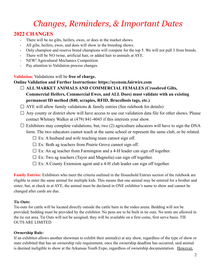## *Changes, Reminders, & Important Dates*

### **2022 CHANGES**

- There will be no gilts, heifers, ewes, or does in the market shows.
- All gilts, heifers, ewes, and does will show in the breeding shows.
- Only champion and reserve breed champions will compete for the top 5. We will not pull 3 from breeds.
- There will be NO twine, artificial hair, or added hair to animals at AYE.
- NEW! Agricultural Mechanics Competition
- Pay attention to Validation process changes.

**Validation:** Validations will be **free of charge.**

**Online Validation and Further Instructions: https://ayenom.fairwire.com**

- **ALL MARKET ANIMALS AND COMMERCIAL FEMALES (Crossbred Gilts, Commercial Heifers, Commercial Ewes, and ALL Does) must validate with an existing permanent ID method (840, scrapies, RFID, Brucellosis tags, etc.)**
- $\Box$  AYE will allow family validations & family entries (See rulebook for details)
- $\Box$  Any county or district show will have access to use our validation data file for other shows. Please contact Whitney Walker at (479) 841-4045 if this interests your show.
- $\Box$  Exhibitors may complete validations; but, two (2) agriculture educators will have to sign the DNA form. The two educators cannot teach at the same school or represent the same club, or be related.
	- $\square$  Ex: A husband and wife teaching team cannot sign off.
	- $\square$  Ex: Both ag teachers from Prairie Grove cannot sign off.
	- $\Box$  Ex: An ag teacher from Farmington and a 4-H leader can sign off together.
	- $\Box$  Ex: Two ag teachers (Tayor and Magnolia) can sign off together.
	- $\Box$  Ex: A County Extension agent and a 4-H club leader can sign off together.

**Family Entries:** Exhibitors who meet the criteria outlined in the Household Entries section of the rulebook are eligible to enter the same animal for multiple kids. This means that one animal may be entered for a brother and sister; but, at check in at AYE, the animal must be declared in ONE exhibitor's name to show and cannot be changed after cards are due.

### **Tie Outs:**

Tie-outs for cattle will be located directly outside the cattle barn in the rodeo arena. Bedding will not be provided; bedding must be provided by the exhibitor. No pens are to be built in tie outs. No tents are allowed in the tie out area. Tie Outs will not be assigned, they will be available on a first come, first serve basis. TIE OUTS ARE LIMITED

### **Ownership Rule:**

If an exhibitor allows another showman to exhibit their animal(s) at any show, regardless of the type of show or state exhibited that has an ownership rule requirement, once the ownership deadline has occurred, said animal is deemed ineligible to show at the Arkansas Youth Expo, regardless of ownership documentation. However,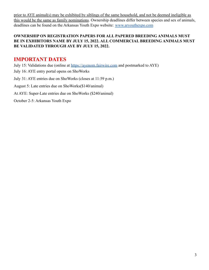prior to AYE animal(s) may be exhibited by siblings of the same household, and not be deemed ineligible as this would be the same as family nominations. Ownership deadlines differ between species and sex of animals, deadlines can be found on the Arkansas Youth Expo website: [www.aryouthexpo.com](http://www.aryouthexpo.com)

### **OWNERSHIP ON REGISTRATION PAPERS FOR ALL PAPERED BREEDING ANIMALS MUST BE IN EXHIBITORS NAME BY JULY 15, 2022. ALL COMMERCIAL BREEDING ANIMALS MUST BE VALIDATED THROUGH AYE BY JULY 15, 2022.**

### **IMPORTANT DATES**

July 15: Validations due (online at <https://ayenom.fairwire.com> and postmarked to AYE) July 16: AYE entry portal opens on ShoWorks July 31: AYE entries due on ShoWorks (closes at 11:59 p.m.) August 5: Late entries due on ShoWorks(\$140/animal) At AYE: Super-Late entries due on ShoWorks (\$240/animal) October 2-5: Arkansas Youth Expo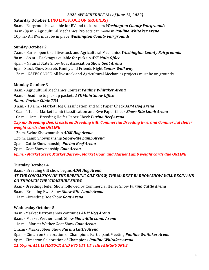### *2022 AYE SCHEDULE (As of June 13, 2022)*

### **Saturday October 1 (NO LIVESTOCK ON GROUNDS)**

8a.m. - Fairgrounds available for RV and tack trailers *Washington County Fairgrounds* 8a.m.-8p.m. - Agricultural Mechanics Projects can move in *Pauline Whitaker Arena* 10p.m.- All RVs must be in place *Washington County Fairgrounds*

### **Sunday October 2**

7a.m. - Barns open to all livestock and Agricultural Mechanics *Washington County Fairgrounds* 8a.m. - 6p.m. - Backtags available for pick up *AYE Main Office* 4p.m. - Natural State Show Goat Association Show *Goat Arena* 6p.m. Stock Show Secrets Family and Friends Night *Center Walkway* 12a.m.- GATES CLOSE. All livestock and Agricultural Mechanics projects must be on grounds

### **Monday October 3**

8a.m. - Agricultural Mechanics Contest *Pauline Whitaker Arena*

9a.m. - Deadline to pick up packets *AYE Main Show Office*

### *9a.m.- Purina Clinic TBA*

9 a.m. - 10 a.m. - Market Hog Classification and Gilt Paper Check *ADM Hog Arena*

10a.m-11a.m.- Market Lamb Classification and Ewe Paper Check *Show-Rite Lamb Arena*

10a.m.-11am.- Breeding Heifer Paper Check *Purina Beef Arena*

*12p.m.- Breeding Doe, Crossbred Breeding Gilt, Commercial Breeding Ewe, and Commercial Heifer weight cards due ONLINE*

12p.m. Swine Showmanship *ADM Hog Arena* 12p.m. Lamb Showmanship *Show-Rite Lamb Arena* 2p.m.- Cattle Showmanship *Purina Beef Arena* 2p.m.- Goat Showmanship *Goat Arena 6p.m. - Market Steer, Market Barrow, Market Goat, and Market Lamb weight cards due ONLINE*

### **Tuesday October 4**

8a.m. - Breeding Gilt show begins *ADM Hog Arena AT THE CONCLUSION OF THE BREEDING GILT SHOW, THE MARKET BARROW SHOW WILL BEGIN AND GO THROUGH THE YORKSHIRE SHOW.*

8a.m - Breeding Heifer Show followed by Commercial Heifer Show *Purina Cattle Arena* 8a.m. - Breeding Ewe Show *Show-Rite Lamb Arena* 11a.m. -Breeding Doe Show *Goat Arena*

### **Wednesday October 5**

8a.m. -Market Barrow show continues *ADM Hog Arena* 8a.m. - Market Wether Lamb Show *Show-Rite Lamb Arena* 11a.m. - Market Wether Goat Show *Goat Arena* 11a..m - Market Steer Show *Purina Cattle Arena* 3p.m. - Cimarron Celebration of Champions Participant Meeting *Pauline Whitaker Arena* 4p.m.- Cimarron Celebration of Champions *Pauline Whitaker Arena 11:59p.m. ALL LIVESTOCK AND RVS OFF OF THE FAIRGROUNDS*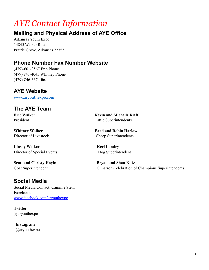## *AYE Contact Information*

### **Mailing and Physical Address of AYE Office**

Arkansas Youth Expo 14845 Walker Road Prairie Grove, Arkansas 72753

### **Phone Number Fax Number Website**

(479)-601-3567 Eric Phone (479) 841-4045 Whitney Phone (479)-846-3374 fax

### **AYE Website**

[www.aryouthexpo.com](http://www.aryouthexpo.com)

### **The AYE Team**

**Linsay Walker Keri Landry** Director of Special Events Hog Superintendent

**Scott and Christy Hoyle Bryan and Shan Kutz** 

### **Social Media**

Social Media Contact: Cammie Stehr **Facebook** www.facebook.com/aryouthexpo

**Twitter** @aryouthexpo

**Instagram** @aryouthexpo

**Eric Walker Kevin and Michelle Rieff** President Cattle Superintendents

**Whitney Walker <b>Brad** and Robin Harlow Director of Livestock Sheep Superintendents

Goat Superintendent Cimarron Celebration of Champions Superintendents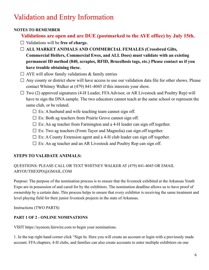## Validation and Entry Information

### **NOTES TO REMEMBER**

### **Validations are open and are DUE (postmarked to the AYE office) by July 15th.**

- Validations will be **free of charge.**
- **ALL MARKET ANIMALS AND COMMERCIAL FEMALES (Crossbred Gilts, Commercial Heifers, Commercial Ewes, and ALL Does) must validate with an existing permanent ID method (840, scrapies, RFID, Brucellosis tags, etc.) Please contact us if you have trouble obtaining these.**
- $\Box$  AYE will allow family validations & family entries
- $\Box$  Any county or district show will have access to use our validation data file for other shows. Please contact Whitney Walker at (479) 841-4045 if this interests your show.
- $\Box$  Two (2) approved signatures (4-H Leader, FFA Advisor, or AR Livestock and Poultry Rep) will have to sign the DNA sample. The two educators cannot teach at the same school or represent the same club, or be related.
	- $\square$  Ex: A husband and wife teaching team cannot sign off.
	- $\square$  Ex: Both ag teachers from Prairie Grove cannot sign off.
	- $\Box$  Ex: An ag teacher from Farmington and a 4-H leader can sign off together.
	- $\Box$  Ex: Two ag teachers (From Tayor and Magnolia) can sign off together.
	- $\Box$  Ex: A County Extension agent and a 4-H club leader can sign off together.
	- $\square$  Ex: An ag teacher and an AR Livestock and Poultry Rep can sign off.

### **STEPS TO VALIDATE ANIMALS:**

### QUESTIONS: PLEASE CALL OR TEXT WHITNEY WALKER AT (479) 841-4045 OR EMAIL ARYOUTHEXPO@GMAIL.COM

Purpose: The purpose of the nomination process is to ensure that the livestock exhibited at the Arkansas Youth Expo are in possession of and cared for by the exhibitors. The nomination deadline allows us to have proof of ownership by a certain date. This process helps to ensure that every exhibitor is receiving the same treatment and level playing field for their junior livestock projects in the state of Arkansas.

Instructions (TWO PARTS)

### **PART 1 OF 2 - ONLINE NOMINATIONS**

VISIT https://ayenom.fairwire.com to begin your nominations.

1. In the top right hand corner click "Sign In. Here you will create an account or login with a previously made account. FFA chapters, 4-H clubs, and families can also create accounts to enter multiple exhibitors on one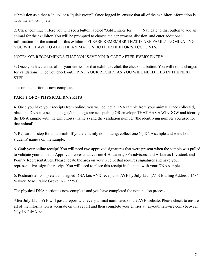submission as either a "club" or a "quick group". Once logged in, ensure that all of the exhibitor information is accurate and complete.

2. Click "continue". Here you will see a button labeled "Add Entries for <sup>2</sup>". Navigate to that button to add an animal for the exhibitor. You will be prompted to choose the department, division, and enter additional information for the animal for this exhibitor. PLEASE REMEMBER THAT IF ARE FAMILY NOMINATING, YOU WILL HAVE TO ADD THE ANIMAL ON BOTH EXHIBITOR'S ACCOUNTS.

### NOTE: AYE RECOMMENDS THAT YOU SAVE YOUR CART AFTER EVERY ENTRY.

3. Once you have added all of your entries for that exhibitor, click the check out button. You will not be charged for validations. Once you check out, PRINT YOUR RECEIPT AS YOU WILL NEED THIS IN THE NEXT STEP.

The online portion is now complete.

### **PART 2 OF 2 - PHYSICAL DNA KITS**

4. Once you have your receipts from online, you will collect a DNA sample from your animal. Once collected, place the DNA in a sealable bag (Ziploc bags are acceptable) OR envelope THAT HAS A WINDOW and identify the DNA sample with the exhibitor(s) name(s) and the validation number (the identifying number you used for that animal).

5. Repeat this step for all animals. If you are family nominating, collect one (1) DNA sample and write both students' name's on the sample.

6. Grab your online receipt! You will need two approved signatures that were present when the sample was pulled to validate your animals. Approved representatives are 4-H leaders, FFA advisors, and Arkansas Livestock and Poultry Representatives. Please locate the area on your receipt that requires signatures and have your representatives sign the receipt. You will need to place this receipt in the mail with your DNA samples.

6. Postmark all completed and signed DNA kits AND receipts to AYE by July 15th (AYE Mailing Address: 14845 Walker Road Prairie Grove, AR 72753)

The physical DNA portion is now complete and you have completed the nomination process.

After July 15th, AYE will post a report with every animal nominated on the AYE website. Please check to ensure all of the information is accurate on this report and then complete your entries at (aryouth.fairwire.com) between July 16-July 31st.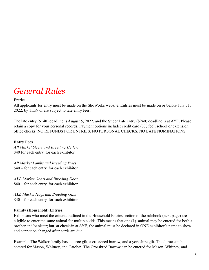## *General Rules*

### Entries:

All applicants for entry must be made on the ShoWorks website. Entries must be made on or before July 31, 2022, by 11:59 or are subject to late entry fees.

The late entry (\$140) deadline is August 5, 2022, and the Super Late entry (\$240) deadline is at AYE. Please retain a copy for your personal records. Payment options include: credit card (3% fee), school or extension office checks. NO REFUNDS FOR ENTRIES. NO PERSONAL CHECKS. NO LATE NOMINATIONS.

### **Entry Fees**

*All Market Steers and Breeding Heifers* \$40 for each entry, for each exhibitor

*All Market Lambs and Breeding Ewes* \$40 – for each entry, for each exhibitor

*ALL Market Goats and Breeding Does* \$40 – for each entry, for each exhibitor

*ALL Market Hogs and Breeding Gilts* \$40 – for each entry, for each exhibitor

### **Family (Household) Entries:**

Exhibitors who meet the criteria outlined in the Household Entries section of the rulebook (next page) are eligible to enter the same animal for multiple kids. This means that one (1) animal may be entered for both a brother and/or sister; but, at check-in at AYE, the animal must be declared in ONE exhibitor's name to show and cannot be changed after cards are due.

Example: The Walker family has a duroc gilt, a crossbred barrow, and a yorkshire gilt. The duroc can be entered for Mason, Whitney, and Catelyn. The Crossbred Barrow can be entered for Mason, Whitney, and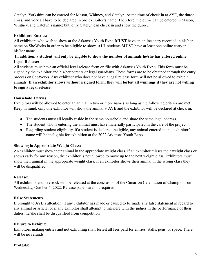Catelyn. Yorkshire can be entered for Mason, Whitney, and Catelyn. At the time of check in at AYE, the duroc, cross, and york all have to be declared in one exhibitor's name. Therefore, the duroc can be entered in Mason, Whitney, and Catelyn's name; but, only Catelyn can check in and show the duroc.

### **Exhibitors Entries:**

All exhibitors who wish to show at the Arkansas Youth Expo **MUST** have an online entry recorded in his/her name on ShoWorks in order to be eligible to show. **ALL** students **MUST** have at least one online entry in his/her name.

### **In addition, a student will only be eligible to show the number of animals he/she has entered online. Legal Release:**

All students must have an official legal release form on file with Arkansas Youth Expo. This form must be signed by the exhibitor and his/her parents or legal guardians. These forms are to be obtained through the entry process on ShoWorks. Any exhibitor who does not have a legal release form will not be allowed to exhibit animals. **If an exhibitor shows without a signed form, they will forfeit all winnings if they are not willing to sign a legal release.**

### **Household Entries:**

Exhibitors will be allowed to enter an animal in two or more names as long as the following criteria are met. Keep in mind, only one exhibitor will show the animal at AYE and the exhibitor will be declared at check in.

- The students must all legally reside in the same household and share the same legal address.
- The student who is entering the animal must have materially participated in the care of the project.
- Regarding student eligibility, if a student is declared ineligible, any animal entered in that exhibitor's name will be ineligible for exhibition at the 2022 Arkansas Youth Expo.

### **Showing in Appropriate Weight Class:**

An exhibitor must show their animal in the appropriate weight class. If an exhibitor misses their weight class or shows early for any reason, the exhibitor is not allowed to move up to the next weight class. Exhibitors must show their animal in the appropriate weight class, if an exhibitor shows their animal in the wrong class they will be disqualified.

### **Release:**

All exhibitors and livestock will be released at the conclusion of the Cimarron Celebration of Champions on Wednesday, October 5, 2022. Release papers are not required.

### **False Statements:**

If brought to AYE's attention, if any exhibitor has made or caused to be made any false statement in regard to any animal or article, or if any exhibitor shall attempt to interfere with the judges in the performance of their duties, he/she shall be disqualified from competition.

### **Failure to Exhibit:**

Exhibitors making entries and not exhibiting shall forfeit all fees paid for entries, stalls, pens, or space. There will be no refunds.

### **Protests:**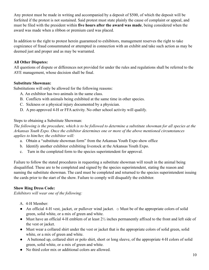Any protest must be made in writing and accompanied by a deposit of \$500, of which the deposit will be forfeited if the protest is not sustained. Said protest must state plainly the cause of complaint or appeal, and must be filed with the president within **five hours after the award was made**, being considered when the award was made when a ribbon or premium card was placed.

In addition to the right to protest herein guaranteed to exhibitors, management reserves the right to take cognizance of fraud consummated or attempted in connection with an exhibit and take such action as may be deemed just and proper and as may be warranted.

### **All Other Disputes:**

All questions of dispute or differences not provided for under the rules and regulations shall be referred to the AYE management, whose decision shall be final.

### **Substitute Showman:**

Substitutions will only be allowed for the following reasons:

- A. An exhibitor has two animals in the same class.
- B. Conflicts with animals being exhibited at the same time in other species.
- C. Sickness or a physical injury documented by a physician.
- D. A pre-approved 4-H or FFA activity. No other school activity will qualify.

Steps to obtaining a Substitute Showman:

*The following is the procedure, which is to be followed to determine a substitute showman for all species at the Arkansas Youth Expo. Once the exhibitor determines one or more of the above mentioned circumstances applies to him/her, the exhibitor will:*

- a. Obtain a "substitute showman form" from the Arkansas Youth Expo show office
- b. Identify another exhibitor exhibiting livestock at the Arkansas Youth Expo.
- c. Turn in the completed form to the species superintendent for approval.

Failure to follow the stated procedures in requesting a substitute showman will result in the animal being disqualified. These are to be completed and signed by the species superintendent, stating the reason and naming the substitute showman. The card must be completed and returned to the species superintendent issuing the cards prior to the start of the show. Failure to comply will disqualify the exhibitor.

### **Show Ring Dress Code:**

*Exhibitors will wear one of the following:*

- A. 4-H Member:
- An official 4-H vest, jacket, or pullover wind jacket.  $\circ$  Must be of the appropriate colors of solid green, solid white, or a mix of green and white.
- Must have an official 4-H emblem of at least  $2\frac{1}{2}$  inches permanently affixed to the front and left side of the vest or jacket.
- Must wear a collared shirt under the vest or jacket that is the appropriate colors of solid green, solid white, or a mix of green and white.
- A buttoned up, collared shirt or polo shirt, short or long sleeve, of the appropriate 4-H colors of solid green, solid white, or a mix of green and white.
- No third color mix or additional colors are allowed.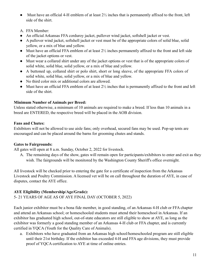- Must have an official 4-H emblem of at least  $2\frac{1}{2}$  inches that is permanently affixed to the front, left side of the shirt.
- A. FFA Member:
- An official Arkansas FFA corduroy jacket, pullover wind jacket, softshell jacket or vest.
- A pullover wind jacket, softshell jacket or vest must be of the appropriate colors of solid blue, solid yellow, or a mix of blue and yellow.
- Must have an official FFA emblem of at least  $2\frac{1}{2}$  inches permanently affixed to the front and left side of the jacket options or vest.
- Must wear a collared shirt under any of the jacket options or vest that is of the appropriate colors of solid white, solid blue, solid yellow, or a mix of blue and yellow.
- A buttoned up, collared shirt or polo shirt, short or long sleeve, of the appropriate FFA colors of solid white, solid blue, solid yellow, or a mix of blue and yellow.
- No third color mix or additional colors are allowed.
- Must have an official FFA emblem of at least  $2\frac{1}{2}$  inches that is permanently affixed to the front and left side of the shirt.

### **Minimum Number of Animals per Breed:**

Unless stated otherwise, a minimum of 10 animals are required to make a breed. If less than 10 animals in a breed are ENTERED, the respective breed will be placed in the AOB division.

### **Fans and Chutes:**

Exhibitors will not be allowed to use aisle fans; only overhead, secured fans may be used. Pop-up tents are encouraged and can be placed around the barns for grooming chutes and stands.

### **Gates to Fairgrounds:**

All gates will open at 8 a.m. Sunday, October 2, 2022 for livestock.

A. The remaining days of the show, gates will remain open for participants/exhibitors to enter and exit as they wish. The fairgrounds will be monitored by the Washington County Sheriff's office overnight.

All livestock will be checked prior to entering the gate for a certificate of inspection from the Arkansas Livestock and Poultry Commission. A licensed vet will be on call throughout the duration of AYE, in case of disputes, contact the AYE office.

### **AYE Eligibility (Membership/Age/Grade):**

5- 21 YEARS OF AGE AS OF AYE FINAL DAY (OCTOBER 5, 2022)

Each junior exhibitor must be a bona fide member, in good standing, of an Arkansas 4-H club or FFA chapter and attend an Arkansas school; or homeschooled students must attend their homeschool in Arkansas. If an exhibitor has graduated high school, out-of-state educators are still eligible to show at AYE, as long as the exhibitor was formerly a good standing member of an Arkansas 4-H club or FFA chapter, and is currently certified in YQCA (Youth for the Quality Care of Animals).

a. Exhibitors who have graduated from an Arkansas high school/homeschooled program are still eligible until their 21st birthday. If the exhibitor has exceeded 4-H and FFA age divisions, they must provide proof of YQCA certification to AYE at time of online entries.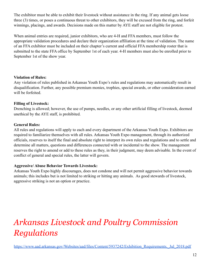The exhibitor must be able to exhibit their livestock without assistance in the ring. If any animal gets loose three (3) times, or poses a continuous threat to other exhibitors, they will be excused from the ring, and forfeit winnings, placings, and awards. Decisions made on this matter by AYE staff are not eligible for protest.

When animal entries are required, junior exhibitors, who are 4-H and FFA members, must follow the appropriate validation procedures and declare their organization affiliation at the time of validation. The name of an FFA exhibitor must be included on their chapter's current and official FFA membership roster that is submitted to the state FFA office by September 1st of each year. 4-H members must also be enrolled prior to September 1st of the show year.

### **Violation of Rules:**

Any violation of rules published in Arkansas Youth Expo's rules and regulations may automatically result in disqualification. Further, any possible premium monies, trophies, special awards, or other consideration earned will be forfeited.

### **Filling of Livestock:**

Drenching is allowed; however, the use of pumps, needles, or any other artificial filling of livestock, deemed unethical by the AYE staff, is prohibited.

### **General Rules:**

All rules and regulations will apply to each and every department of the Arkansas Youth Expo. Exhibitors are required to familiarize themselves with all rules. Arkansas Youth Expo management, through its authorized officials, reserves to itself the final and absolute right to interpret its own rules and regulations and to settle and determine all matters, questions and differences connected with or incidental to the show. The management reserves the right to amend or add to these rules as they, in their judgment, may deem advisable. In the event of conflict of general and special rules, the latter will govern.

### **Aggressive/ Abuse Behavior Towards Livestock:**

Arkansas Youth Expo highly discourages, does not condone and will not permit aggressive behavior towards animals; this includes but is not limited to striking or hitting any animals. As good stewards of livestock, aggressive striking is not an option or practice.

## *Arkansas Livestock and Poultry Commission Regulations*

[https://www.aad.arkansas.gov/Websites/aad/files/Content/5937242/Exhibition\\_Requirements,\\_Jul\\_2018.pdf](https://www.aad.arkansas.gov/Websites/aad/files/Content/5937242/Exhibition_Requirements,_Jul_2018.pdf)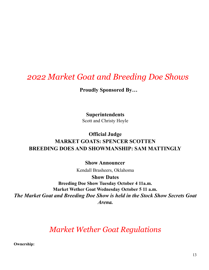## *2022 Market Goat and Breeding Doe Shows*

**Proudly Sponsored By…**

**Superintendents** Scott and Christy Hoyle

### **Official Judge MARKET GOATS: SPENCER SCOTTEN BREEDING DOES AND SHOWMANSHIP: SAM MATTINGLY**

**Show Announcer**

Kendall Brasheers, Oklahoma

**Show Dates Breeding Doe Show Tuesday October 4 11a.m. Market Wether Goat Wednesday October 5 11 a.m.** *The Market Goat and Breeding Doe Show is held in the Stock Show Secrets Goat Arena.*

## *Market Wether Goat Regulations*

**Ownership:**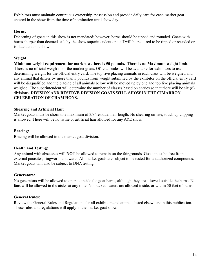Exhibitors must maintain continuous ownership, possession and provide daily care for each market goat entered in the show from the time of nomination until show day.

### **Horns:**

Dehorning of goats in this show is not mandated; however, horns should be tipped and rounded. Goats with horns sharper than deemed safe by the show superintendent or staff will be required to be tipped or rounded or isolated and not shown.

### **Weight:**

**Minimum weight requirement for market wethers is 50 pounds. There is no Maximum weight limit. There** is no official weigh-in of the market goats. Official scales will be available for exhibitors to use in determining weight for the official entry card. The top five placing animals in each class will be weighed and any animal that differs by more than 5 pounds from weight submitted by the exhibitor on the official entry card will be disqualified and the placing of all animals below will be moved up by one and top five placing animals weighed. The superintendent will determine the number of classes based on entries so that there will be six (6) divisions. **DIVISION AND RESERVE DIVISION GOATS WILL SHOW IN THE CIMARRON CELEBRATION OF CHAMPIONS.**

### **Shearing and Artificial Hair:**

Market goats must be shorn to a maximum of 3/8"residual hair length. No shearing on-site, touch up clipping is allowed. There will be no twine or artificial hair allowed for any AYE show.

### **Bracing:**

Bracing will be allowed in the market goat division.

### **Health and Testing:**

Any animal with abscesses will **NOT** be allowed to remain on the fairgrounds. Goats must be free from external parasites, ringworm and warts. All market goats are subject to be tested for unauthorized compounds. Market goats will also be subject to DNA testing.

#### **Generators:**

No generators will be allowed to operate inside the goat barns, although they are allowed outside the barns. No fans will be allowed in the aisles at any time. No bucket heaters are allowed inside, or within 50 feet of barns.

### **General Rules:**

Review the General Rules and Regulations for all exhibitors and animals listed elsewhere in this publication. These rules and regulations will apply in the market goat show.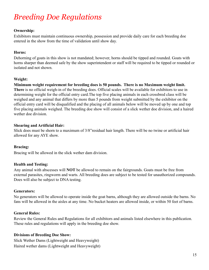## *Breeding Doe Regulations*

### **Ownership:**

Exhibitors must maintain continuous ownership, possession and provide daily care for each breeding doe entered in the show from the time of validation until show day.

### **Horns:**

Dehorning of goats in this show is not mandated; however, horns should be tipped and rounded. Goats with horns sharper than deemed safe by the show superintendent or staff will be required to be tipped or rounded or isolated and not shown.

### **Weight:**

**Minimum weight requirement for breeding does is 50 pounds. There is no Maximum weight limit. There** is no official weigh-in of the breeding does. Official scales will be available for exhibitors to use in determining weight for the official entry card.The top five placing animals in each crossbred class will be weighed and any animal that differs by more than 5 pounds from weight submitted by the exhibitor on the official entry card will be disqualified and the placing of all animals below will be moved up by one and top five placing animals weighed. The breeding doe show will consist of a slick wether doe division, and a haired wether doe division.

### **Shearing and Artificial Hair:**

Slick does must be shorn to a maximum of 3/8"residual hair length. There will be no twine or artificial hair allowed for any AYE show.

### **Bracing:**

Bracing will be allowed in the slick wether dam division.

### **Health and Testing:**

Any animal with abscesses will **NOT** be allowed to remain on the fairgrounds. Goats must be free from external parasites, ringworm and warts. All breeding does are subject to be tested for unauthorized compounds. Does will also be subject to DNA testing.

#### **Generators:**

No generators will be allowed to operate inside the goat barns, although they are allowed outside the barns. No fans will be allowed in the aisles at any time. No bucket heaters are allowed inside, or within 50 feet of barns.

### **General Rules:**

Review the General Rules and Regulations for all exhibitors and animals listed elsewhere in this publication. These rules and regulations will apply in the breeding doe show.

### **Divisions of Breeding Doe Show:**

Slick Wether Dams (Lightweight and Heavyweight) Haired wether dams (Lightweight and Heavyweight)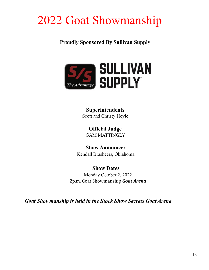# 2022 Goat Showmanship

**Proudly Sponsored By Sullivan Supply**



**Superintendents** Scott and Christy Hoyle

**Official Judge** SAM MATTINGLY

**Show Announcer** Kendall Brasheers, Oklahoma

### **Show Dates**

Monday October 2, 2022 2p.m. Goat Showmanship *Goat Arena*

*Goat Showmanship is held in the Stock Show Secrets Goat Arena*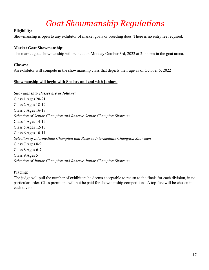## *Goat Showmanship Regulations*

### **Eligibility:**

Showmanship is open to any exhibitor of market goats or breeding does. There is no entry fee required.

### **Market Goat Showmanship:**

The market goat showmanship will be held on Monday October 3rd, 2022 at 2:00 pm in the goat arena.

### **Classes:**

An exhibitor will compete in the showmanship class that depicts their age as of October 5, 2022

### **Showmanship will begin with Seniors and end with juniors.**

#### *Showmanship classes are as follows:*

Class 1 Ages 20-21 Class 2 Ages 18-19 Class 3 Ages 16-17 *Selection of Senior Champion and Reserve Senior Champion Showmen* Class 4 Ages 14-15 Class 5 Ages 12-13 Class 6 Ages 10-11 *Selection of Intermediate Champion and Reserve Intermediate Champion Showmen* Class 7 Ages 8-9 Class 8 Ages 6-7 Class 9 Ages 5 *Selection of Junior Champion and Reserve Junior Champion Showmen*

### **Placing:**

The judge will pull the number of exhibitors he deems acceptable to return to the finals for each division, in no particular order. Class premiums will not be paid for showmanship competitions. A top five will be chosen in each division.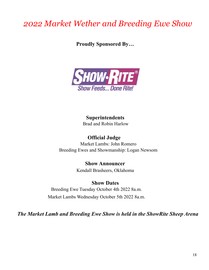## *2022 Market Wether and Breeding Ewe Show*

**Proudly Sponsored By…**



**Superintendents** Brad and Robin Harlow

**Official Judge** Market Lambs: John Romero Breeding Ewes and Showmanship: Logan Newsom

> **Show Announcer** Kendall Brasheers, Oklahoma

**Show Dates** Breeding Ewe Tuesday October 4th 2022 8a.m. Market Lambs Wednesday October 5th 2022 8a.m.

*The Market Lamb and Breeding Ewe Show is held in the ShowRite Sheep Arena*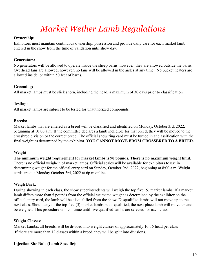## *Market Wether Lamb Regulations*

#### **Ownership:**

Exhibitors must maintain continuous ownership, possession and provide daily care for each market lamb entered in the show from the time of validation until show day.

### **Generators:**

No generators will be allowed to operate inside the sheep barns, however, they are allowed outside the barns. Overhead fans are allowed; however, no fans will be allowed in the aisles at any time. No bucket heaters are allowed inside, or within 50 feet of barns.

### **Grooming:**

All market lambs must be slick shorn, including the head, a maximum of 30 days prior to classification.

### **Testing:**

All market lambs are subject to be tested for unauthorized compounds.

### **Breeds:**

Market lambs that are entered as a breed will be classified and identified on Monday, October 3rd, 2022, beginning at 10:00 a.m. If the committee declares a lamb ineligible for that breed, they will be moved to the crossbred division or the correct breed. The official show ring card must be turned in at classification with the final weight as determined by the exhibitor. **YOU CANNOT MOVE FROM CROSSBRED TO A BREED.**

### **Weight:**

**The minimum weight requirement for market lambs is 90 pounds. There is no maximum weight limit.** There is no official weigh-in of market lambs. Official scales will be available for exhibitors to use in determining weight for the official entry card on Sunday, October 2nd, 2022, beginning at 8:00 a.m. Weight cards are due Monday October 3rd, 2022 at 6p.m.online.

### **Weigh Back:**

During showing in each class, the show superintendents will weigh the top five (5) market lambs. If a market lamb differs more than 5 pounds from the official estimated weight as determined by the exhibitor on the official entry card, the lamb will be disqualified from the show. Disqualified lambs will not move up to the next class. Should any of the top five (5) market lambs be disqualified, the next place lamb will move up and be weighed. This procedure will continue until five qualified lambs are selected for each class.

### **Weight Classes:**

Market Lambs, all breeds, will be divided into weight classes of approximately 10-15 head per class If there are more than 12 classes within a breed, they will be split into divisions.

### **Injection Site Rule (Lamb Specific):**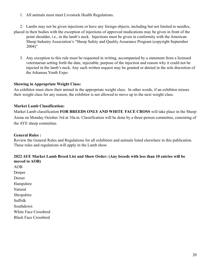1. All animals must meet Livestock Health Regulations.

2. Lambs may not be given injections or have any foreign objects, including but not limited to needles, placed in their bodies with the exception of injections of approved medications may be given in front of the point shoulder, i.e., in the lamb's neck. Injections must be given in conformity with the American Sheep Industry Association's "Sheep Safety and Quality Assurance Program (copyright September  $2004$ "

3. Any exception to this rule must be requested in writing, accompanied by a statement from a licensed veterinarian setting forth the date, injectable, purpose of the injection and reason why it could not be injected in the lamb's neck. Any such written request may be granted or denied in the sole discretion of the Arkansas Youth Expo.

#### **Showing in Appropriate Weight Class:**

An exhibitor must show their animal in the appropriate weight class. In other words, if an exhibitor misses their weight class for any reason, the exhibitor is not allowed to move up to the next weight class.

### **Market Lamb Classification:**

Market Lamb classification **FOR BREEDS ONLY AND WHITE FACE CROSS** will take place in the Sheep Arena on Monday October 3rd at 10a.m. Classification will be done by a three-person committee, consisting of the AYE sheep committee.

### **General Rules :**

Review the General Rules and Regulations for all exhibitors and animals listed elsewhere in this publication. These rules and regulations will apply in the Lamb show.

### **2022 AYE Market Lamb Breed List and Show Order: (Any breeds with less than 10 entries will be moved to AOB)**

AOB Dorper Dorset Hampshire Natural Shropshire Suffolk Southdown White Face Crossbred Black Face Crossbred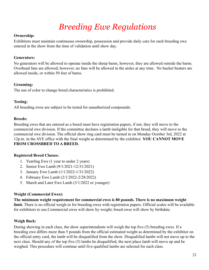## *Breeding Ewe Regulations*

### **Ownership:**

Exhibitors must maintain continuous ownership, possession and provide daily care for each breeding ewe entered in the show from the time of validation until show day.

### **Generators:**

No generators will be allowed to operate inside the sheep barns, however, they are allowed outside the barns. Overhead fans are allowed; however, no fans will be allowed in the aisles at any time. No bucket heaters are allowed inside, or within 50 feet of barns.

### **Grooming:**

The use of color to change breed characteristics is prohibited.

### **Testing:**

All breeding ewes are subject to be tested for unauthorized compounds.

### **Breeds:**

Breeding ewes that are entered as a breed must have registration papers, if not, they will move to the commercial ewe division. If the committee declares a lamb ineligible for that breed, they will move to the commercial ewe division. The official show ring card must be turned in on Monday October 3rd, 2022 at 12p.m. in the AYE office with the final weight as determined by the exhibitor. **YOU CANNOT MOVE FROM CROSSBRED TO A BREED.**

### **Registered Breed Classes:**

- 1. Yearling Ewe (1 year to under 2 years)
- 2. Senior Ewe Lamb (9/1/2021-12/31/2021)
- 3. January Ewe Lamb (1/1/2022-1/31/2022)
- 4. February Ewe Lamb (2/1/2022-2/28/2022)
- 5. March and Later Ewe Lamb (3/1/2022 or younger)

### **Weight (Commercial Ewes):**

**The minimum weight requirement for commercial ewes is 80 pounds. There is no maximum weight limit.** There is no official weigh-in for breeding ewes with registration papers. Official scales will be available for exhibitors to use.Commercial ewes will show by weight; breed ewes will show by birthdate.

### **Weigh Back:**

During showing in each class, the show superintendents will weigh the top five (5) breeding ewes. If a breeding ewe differs more than 5 pounds from the official estimated weight as determined by the exhibitor on the official entry card, the lamb will be disqualified from the show. Disqualified lambs will not move up to the next class. Should any of the top five (5) lambs be disqualified, the next place lamb will move up and be weighed. This procedure will continue until five qualified lambs are selected for each class.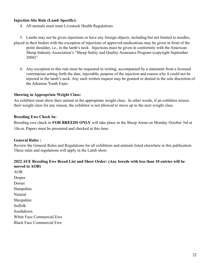### **Injection Site Rule (Lamb Specific):**

4. All animals must meet Livestock Health Regulations.

5. Lambs may not be given injections or have any foreign objects, including but not limited to needles, placed in their bodies with the exception of injections of approved medications may be given in front of the point shoulder, i.e., in the lamb's neck. Injections must be given in conformity with the American Sheep Industry Association's "Sheep Safety and Quality Assurance Program (copyright September 2004)"

6. Any exception to this rule must be requested in writing, accompanied by a statement from a licensed veterinarian setting forth the date, injectable, purpose of the injection and reason why it could not be injected in the lamb's neck. Any such written request may be granted or denied in the sole discretion of the Arkansas Youth Expo.

#### **Showing in Appropriate Weight Class:**

An exhibitor must show their animal in the appropriate weight class. In other words, if an exhibitor misses their weight class for any reason, the exhibitor is not allowed to move up to the next weight class.

### **Breeding Ewe Check In:**

Breeding ewe check in **FOR BREEDS ONLY** will take place in the Sheep Arena on Monday October 3rd at 10a.m. Papers must be presented and checked at this time.

#### **General Rules :**

Review the General Rules and Regulations for all exhibitors and animals listed elsewhere in this publication. These rules and regulations will apply in the Lamb show.

### **2022 AYE Breeding Ewe Breed List and Show Order: (Any breeds with less than 10 entries will be moved to AOB)**

AOB Dorper Dorset Hampshire **Natural** Shropshire Suffolk Southdown White Face Commercial Ewe Black Face Commercial Ewe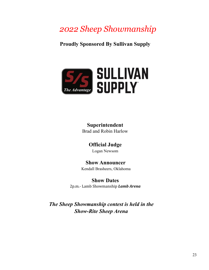## *2022 Sheep Showmanship*

**Proudly Sponsored By Sullivan Supply**



## **Superintendent**

Brad and Robin Harlow

### **Official Judge**

Logan Newsom

### **Show Announcer**

Kendall Brasheers, Oklahoma

### **Show Dates**

2p.m.- Lamb Showmanship *Lamb Arena*

*The Sheep Showmanship contest is held in the Show-Rite Sheep Arena*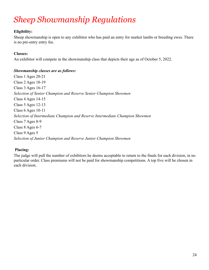## *Sheep Showmanship Regulations*

### **Eligibility:**

Sheep showmanship is open to any exhibitor who has paid an entry for market lambs or breeding ewes. There is no pre-entry entry fee.

### **Classes:**

An exhibitor will compete in the showmanship class that depicts their age as of October 5, 2022.

### *Showmanship classes are as follows:*

Class 1 Ages 20-21 Class 2 Ages 18-19 Class 3 Ages 16-17 *Selection of Senior Champion and Reserve Senior Champion Showmen* Class 4 Ages 14-15 Class 5 Ages 12-13 Class 6 Ages 10-11 *Selection of Intermediate Champion and Reserve Intermediate Champion Showmen* Class 7 Ages 8-9 Class 8 Ages 6-7 Class 9 Ages 5 *Selection of Junior Champion and Reserve Junior Champion Showmen*

### **Placing:**

The judge will pull the number of exhibitors he deems acceptable to return to the finals for each division, in no particular order. Class premiums will not be paid for showmanship competitions. A top five will be chosen in each division.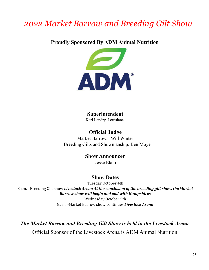## *2022 Market Barrow and Breeding Gilt Show*

### **Proudly Sponsored By ADM Animal Nutrition**



### **Superintendent**

Keri Landry, Louisiana

**Official Judge** Market Barrows: Will Winter Breeding Gilts and Showmanship: Ben Moyer

> **Show Announcer** Jesse Elam

### **Show Dates**

Tuesday October 4th 8a.m. - Breeding Gilt show *Livestock Arena At the conclusion of the breeding gilt show, the Market Barrow show will begin and end with Hampshires*

Wednesday October 5th 8a.m. -Market Barrow show continues *Livestock Arena*

*The Market Barrow and Breeding Gilt Show is held in the Livestock Arena.*

Official Sponsor of the Livestock Arena is ADM Animal Nutrition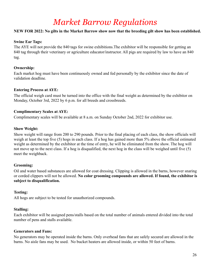## *Market Barrow Regulations*

### **NEW FOR 2022: No gilts in the Market Barrow show now that the breeding gilt show has been established.**

### **Swine Ear Tags:**

The AYE will not provide the 840 tags for swine exhibitions.The exhibitor will be responsible for getting an 840 tag through their veterinary or agriculture educator/instructor. All pigs are required by law to have an 840 tag.

### **Ownership:**

Each market hog must have been continuously owned and fed personally by the exhibitor since the date of validation deadline.

### **Entering Process at AYE:**

The official weigh card must be turned into the office with the final weight as determined by the exhibitor on Monday, October 3rd, 2022 by 6 p.m. for all breeds and crossbreeds.

### **Complimentary Scales at AYE:**

Complimentary scales will be available at 8 a.m. on Sunday October 2nd, 2022 for exhibitor use.

### **Show Weight:**

Show weight will range from 200 to 290 pounds. Prior to the final placing of each class, the show officials will weigh at least the top five (5) hogs in each class. If a hog has gained more than 5% above the official estimated weight as determined by the exhibitor at the time of entry, he will be eliminated from the show. The hog will not move up to the next class. If a hog is disqualified, the next hog in the class will be weighed until five (5) meet the weighback.

### **Grooming:**

Oil and water based substances are allowed for coat dressing. Clipping is allowed in the barns, however snaring or corded clippers will not be allowed. **No color grooming compounds are allowed. If found, the exhibitor is subject to disqualification.**

### **Testing:**

All hogs are subject to be tested for unauthorized compounds.

### **Stalling:**

Each exhibitor will be assigned pens/stalls based on the total number of animals entered divided into the total number of pens and stalls available.

#### **Generators and Fans:**

No generators may be operated inside the barns. Only overhead fans that are safely secured are allowed in the barns. No aisle fans may be used. No bucket heaters are allowed inside, or within 50 feet of barns.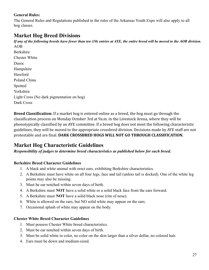### **General Rules:**

The General Rules and Regulations published in the rules of the Arkansas Youth Expo will also apply to all hog classes.

### **Market Hog Breed Divisions**

If any of the following breeds have fewer than ten  $(10)$  entries at AYE, the entire breed will be moved to the AOB division. AOB

Berkshire Chester White Duroc Hampshire Hereford Poland China Spotted Yorkshire Light Cross (No dark pigmentation on hog) Dark Cross

**Breed Classification:** If a market hog is entered online as a breed, the hog must go through the classification process on Monday October 3rd at 9a.m. in the Livestock Arena, where they will be phenotypically classified by an AYE committee. If a breed hog does not meet the following characteristic guidelines, they will be moved to the appropriate crossbred division. Decisions made by AYE staff are not protestable and are final. **DARK CROSSBRED HOGS WILL NOT GO THROUGH CLASSIFICATION.**

### **Market Hog Characteristic Guidelines**

### *Responsibility of judges to determine breed characteristics as published below for each breed.*

### **Berkshire Breed Character Guidelines**

- 1. A black and white animal with erect ears, exhibiting Berkshire characteristics.
- 2. A Berkshire must have white on all four legs, face and tail (unless tail is docked). One of the white leg points may also be missing.
- 3. Must be ear notched within seven days of birth.
- 4. A Berkshire must **NOT** have a solid white or a solid black face from the ears forward.
- 5. A Berkshire must **NOT** have a solid black nose (rim of nose).
- 6. White is allowed on the ears, but NO solid white may appear on the ears.
- 7. Occasional splash of white may appear on the body.

### **Chester White Breed Character Guidelines**

- 1. Must possess Chester White breed characteristics.
- 2. Must be ear notched within seven days of birth.
- 3. Must be solid white in color, no color on the skin larger than a silver dollar, no colored hair.
- 4. Ears must be down and medium-sized.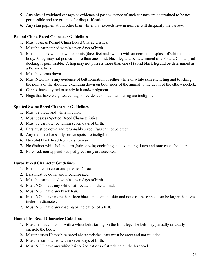- 5. Any size of weighted ear tags or evidence of past existence of such ear tags are determined to be not permissible and are grounds for disqualification.
- 6. Any skin pigmentation, other than white, that exceeds five in number will disqualify the barrow.

### **Poland China Breed Character Guidelines**

- 1. Must possess Poland China Breed Characteristics.
- 2. Must be ear notched within seven days of birth
- 3. Must be black with six white points (face, feet and switch) with an occasional splash of white on the body. A hog may not possess more than one solid, black leg and be determined as a Poland China. (Tail docking is permissible.) A hog may not possess more than one (1) solid black leg and be determined as a Poland China.
- 4. Must have ears down.
- 5. Must **NOT** have any evidence of belt formation of either white or white skin encircling and touching the points of the shoulder extending down on both sides of the animal to the depth of the elbow pocket..
- 6. Cannot have any red or sandy hair and/or pigment.
- 7. Hogs that have weighted ear tags or evidence of such tampering are ineligible.

### **Spotted Swine Breed Character Guidelines**

- **1.** Must be black and white in color.
- **2.** Must possess Spotted Breed Characteristics.
- **3.** Must be ear notched within seven days of birth.
- **4.** Ears must be down and reasonably sized. Ears cannot be erect.
- **5.** Any red tinted or sandy brown spots are ineligible.
- **6.** No solid black head from ears forward.
- **7.** No distinct white belt pattern (hair or skin) encircling and extending down and onto each shoulder.
- **8.** Purebred, non-appendixed pedigrees only are accepted.

### **Duroc Breed Character Guidelines**

- 1. Must be red in color and possess Duroc.
- 2. Ears must be down and medium-sized.
- 3. Must be ear notched within seven days of birth.
- 4. Must **NOT** have any white hair located on the animal.
- 5. Must **NOT** have any black hair.
- 6. Must **NOT** have more than three black spots on the skin and none of these spots can be larger than two inches in diameter.
- 7. Must **NOT** have any shading or indication of a belt.

### **Hampshire Breed Character Guidelines**

- **1.** Must be black in color with a white belt starting on the front leg. The belt may partially or totally encircle the body.
- **2.** Must possess Hampshire breed characteristics: ears must be erect and not rounded.
- **3.** Must be ear notched within seven days of birth.
- **4.** Must **NOT** have any white hair or indications of streaking on the forehead.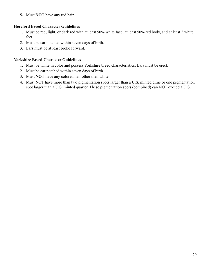**5.** Must **NOT** have any red hair.

### **Hereford Breed Character Guidelines**

- 1. Must be red, light, or dark red with at least 50% white face, at least 50% red body, and at least 2 white feet.
- 2. Must be ear notched within seven days of birth.
- 3. Ears must be at least broke forward.

### **Yorkshire Breed Character Guidelines**

- 1. Must be white in color and possess Yorkshire breed characteristics: Ears must be erect.
- 2. Must be ear notched within seven days of birth.
- 3. Must **NOT** have any colored hair other than white.
- 4. Must NOT have more than two pigmentation spots larger than a U.S. minted dime or one pigmentation spot larger than a U.S. minted quarter. These pigmentation spots (combined) can NOT exceed a U.S.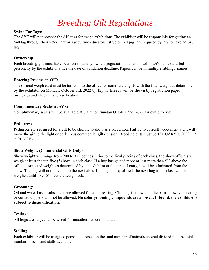## *Breeding Gilt Regulations*

### **Swine Ear Tags:**

The AYE will not provide the 840 tags for swine exhibitions.The exhibitor will be responsible for getting an 840 tag through their veterinary or agriculture educator/instructor. All pigs are required by law to have an 840 tag.

### **Ownership:**

Each breeding gilt must have been continuously owned (registration papers in exhibitor's name) and fed personally by the exhibitor since the date of validation deadline. Papers can be in multiple siblings' names.

### **Entering Process at AYE:**

The official weigh card must be turned into the office for commercial gilts with the final weight as determined by the exhibitor on Monday, October 3rd, 2022 by 12p.m. Breeds will be shown by registration paper birthdates and check in at classification!

### **Complimentary Scales at AYE:**

Complimentary scales will be available at 8 a.m. on Sunday October 2nd, 2022 for exhibitor use.

### **Pedigrees:**

Pedigrees are **required** for a gilt to be eligible to show as a breed hog. Failure to correctly document a gilt will move the gilt to the light or dark cross commercial gilt division. Breeding gilts must be JANUARY 1, 2022 OR YOUNGER.

### **Show Weight: (Commercial Gilts Only)**

Show weight will range from 200 to 375 pounds. Prior to the final placing of each class, the show officials will weigh at least the top five (5) hogs in each class. If a hog has gained more or lost more than 5% above the official estimated weight as determined by the exhibitor at the time of entry, it will be eliminated from the show. The hog will not move up to the next class. If a hog is disqualified, the next hog in the class will be weighed until five (5) meet the weighback.

### **Grooming:**

Oil and water based substances are allowed for coat dressing. Clipping is allowed in the barns, however snaring or corded clippers will not be allowed. **No color grooming compounds are allowed. If found, the exhibitor is subject to disqualification.**

### **Testing:**

All hogs are subject to be tested for unauthorized compounds.

### **Stalling:**

Each exhibitor will be assigned pens/stalls based on the total number of animals entered divided into the total number of pens and stalls available.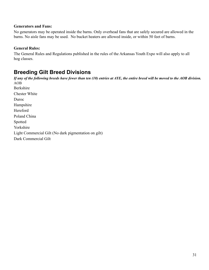#### **Generators and Fans:**

No generators may be operated inside the barns. Only overhead fans that are safely secured are allowed in the barns. No aisle fans may be used. No bucket heaters are allowed inside, or within 50 feet of barns.

### **General Rules:**

The General Rules and Regulations published in the rules of the Arkansas Youth Expo will also apply to all hog classes.

### **Breeding Gilt Breed Divisions**

If any of the following breeds have fewer than ten (10) entries at AYE, the entire breed will be moved to the AOB division. AOB Berkshire Chester White Duroc Hampshire Hereford Poland China Spotted Yorkshire Light Commercial Gilt (No dark pigmentation on gilt) Dark Commercial Gilt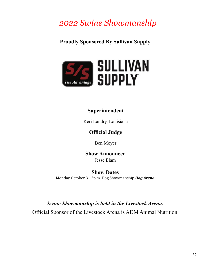## *2022 Swine Showmanship*

### **Proudly Sponsored By Sullivan Supply**



### **Superintendent**

Keri Landry, Louisiana

### **Official Judge**

Ben Moyer

**Show Announcer** Jesse Elam

**Show Dates** Monday October 3 12p.m. Hog Showmanship *Hog Arena*

### *Swine Showmanship is held in the Livestock Arena.*

Official Sponsor of the Livestock Arena is ADM Animal Nutrition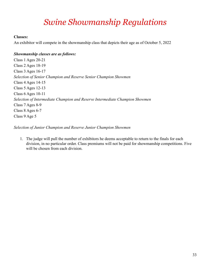## *Swine Showmanship Regulations*

### **Classes:**

An exhibitor will compete in the showmanship class that depicts their age as of October 5, 2022

### *Showmanship classes are as follows:*

Class 1 Ages 20-21 Class 2 Ages 18-19 Class 3 Ages 16-17 *Selection of Senior Champion and Reserve Senior Champion Showmen* Class 4 Ages 14-15 Class 5 Ages 12-13 Class 6 Ages 10-11 *Selection of Intermediate Champion and Reserve Intermediate Champion Showmen* Class 7 Ages 8-9 Class 8 Ages 6-7 Class 9 Age 5

*Selection of Junior Champion and Reserve Junior Champion Showmen*

1. The judge will pull the number of exhibitors he deems acceptable to return to the finals for each division, in no particular order. Class premiums will not be paid for showmanship competitions. Five will be chosen from each division.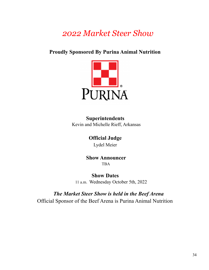## *2022 Market Steer Show*

### **Proudly Sponsored By Purina Animal Nutrition**



**Superintendents** Kevin and Michelle Rieff, Arkansas

> **Official Judge** Lydel Meier

**Show Announcer TBA** 

**Show Dates** 11 a.m. Wednesday October 5th, 2022

*The Market Steer Show is held in the Beef Arena* Official Sponsor of the Beef Arena is Purina Animal Nutrition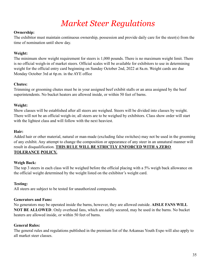## *Market Steer Regulations*

### **Ownership:**

The exhibitor must maintain continuous ownership, possession and provide daily care for the steer(s) from the time of nomination until show day.

### **Weight:**

The minimum show weight requirement for steers is 1,000 pounds. There is no maximum weight limit. There is no official weigh-in of market steers. Official scales will be available for exhibitors to use in determining weight for the official entry card beginning on Sunday October 2nd, 2022 at 8a.m. Weight cards are due Monday October 3rd at 6p.m. in the AYE office

### **Chutes:**

Trimming or grooming chutes must be in your assigned beef exhibit stalls or an area assigned by the beef superintendents. No bucket heaters are allowed inside, or within 50 feet of barns.

### **Weight:**

Show classes will be established after all steers are weighed. Steers will be divided into classes by weight. There will not be an official weigh-in; all steers are to be weighed by exhibitors. Class show order will start with the lightest class and will follow with the next heaviest.

### **Hair:**

Added hair or other material, natural or man-made (excluding false switches) may not be used in the grooming of any exhibit. Any attempt to change the composition or appearance of any steer in an unnatural manner will result in disqualification. **THIS RULE WILL BE STRICTLY ENFORCED WITH A ZERO TOLERANCE POLICY.**

### **Weigh Back:**

The top 3 steers in each class will be weighed before the official placing with a 5% weigh back allowance on the official weight determined by the weight listed on the exhibitor's weight card.

### **Testing:**

All steers are subject to be tested for unauthorized compounds.

#### **Generators and Fans:**

No generators may be operated inside the barns, however, they are allowed outside. **AISLE FANS WILL NOT BE ALLOWED**. Only overhead fans, which are safely secured, may be used in the barns. No bucket heaters are allowed inside, or within 50 feet of barns.

#### **General Rules:**

The general rules and regulations published in the premium list of the Arkansas Youth Expo will also apply to all market steer classes.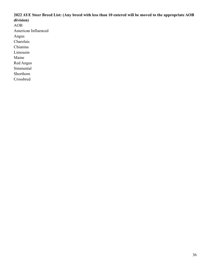### **2022 AYE Steer Breed List: (Any breed with less than 10 entered will be moved to the appropriate AOB division)** AOB American Influenced Angus Charolais Chianina Limousin Maine

Red Angus

Simmental

Shorthorn

Crossbred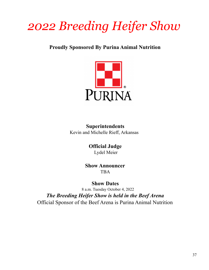# *2022 Breeding Heifer Show*

**Proudly Sponsored By Purina Animal Nutrition**



**Superintendents** Kevin and Michelle Rieff, Arkansas

> **Official Judge** Lydel Meier

**Show Announcer** TBA

**Show Dates** 8 a.m. Tuesday October 4, 2022 *The Breeding Heifer Show is held in the Beef Arena* Official Sponsor of the Beef Arena is Purina Animal Nutrition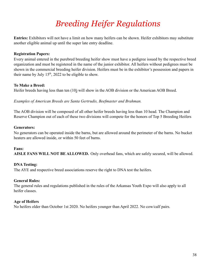## *Breeding Heifer Regulations*

**Entries:** Exhibitors will not have a limit on how many heifers can be shown. Heifer exhibitors may substitute another eligible animal up until the super late entry deadline.

### **Registration Papers:**

Every animal entered in the purebred breeding heifer show must have a pedigree issued by the respective breed organization and must be registered in the name of the junior exhibitor. All heifers without pedigrees must be shown in the commercial breeding heifer division. Heifers must be in the exhibitor's possession and papers in their name by July  $15<sup>th</sup>$ , 2022 to be eligible to show.

### **To Make a Breed:**

Heifer breeds having less than ten (10) will show in the AOB division or the American AOB Breed.

*Examples of American Breeds are Santa Gertrudis, Beefmaster and Brahman.*

The AOB division will be composed of all other heifer breeds having less than 10 head. The Champion and Reserve Champion out of each of these two divisions will compete for the honors of Top 5 Breeding Heifers

### **Generators:**

No generators can be operated inside the barns, but are allowed around the perimeter of the barns. No bucket heaters are allowed inside, or within 50 feet of barns.

#### **Fans:**

**AISLE FANS WILL NOT BE ALLOWED.** Only overhead fans, which are safely secured, will be allowed.

### **DNA Testing:**

The AYE and respective breed associations reserve the right to DNA test the heifers.

### **General Rules:**

The general rules and regulations published in the rules of the Arkansas Youth Expo will also apply to all heifer classes.

### **Age of Heifers**

No heifers older than October 1st 2020. No heifers younger than April 2022. No cow/calf pairs.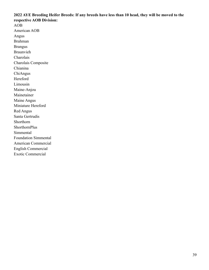### **2022 AYE Breeding Heifer Breeds: If any breeds have less than 10 head, they will be moved to the respective AOB Division:**

AOB American AOB Angus Brahman Brangus Braunvieh Charolais Charolais Composite Chianina ChiAngus Hereford Limousin Maine-Anjou Mainetainer Maine Angus Miniature Hereford Red Angus Santa Gertrudis Shorthorn ShorthornPlus Simmental Foundation Simmental American Commercial English Commercial Exotic Commercial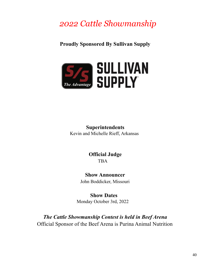## *2022 Cattle Showmanship*

**Proudly Sponsored By Sullivan Supply**



**Superintendents** Kevin and Michelle Rieff, Arkansas

> **Official Judge** TBA

**Show Announcer** John Boddicker, Missouri

**Show Dates** Monday October 3rd, 2022

*The Cattle Showmanship Contest is held in Beef Arena* Official Sponsor of the Beef Arena is Purina Animal Nutrition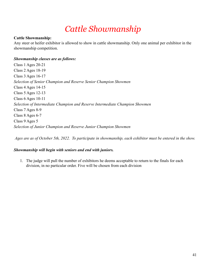## *Cattle Showmanship*

### **Cattle Showmanship:**

Any steer or heifer exhibitor is allowed to show in cattle showmanship. Only one animal per exhibitor in the showmanship competition.

### *Showmanship classes are as follows:*

Class 1 Ages 20-21 Class 2 Ages 18-19 Class 3 Ages 16-17 *Selection of Senior Champion and Reserve Senior Champion Showmen* Class 4 Ages 14-15 Class 5 Ages 12-13 Class 6 Ages 10-11 *Selection of Intermediate Champion and Reserve Intermediate Champion Showmen* Class 7 Ages 8-9 Class 8 Ages 6-7 Class 9 Ages 5 *Selection of Junior Champion and Reserve Junior Champion Showmen*

*Ages are as of October 5th, 2022. To participate in showmanship, each exhibitor must be entered in the show.*

### *Showmanship will begin with seniors and end with juniors.*

1. The judge will pull the number of exhibitors he deems acceptable to return to the finals for each division, in no particular order. Five will be chosen from each division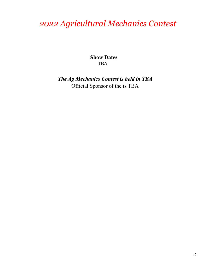## *2022 Agricultural Mechanics Contest*

**Show Dates** TBA

*The Ag Mechanics Contest is held in TBA* Official Sponsor of the is TBA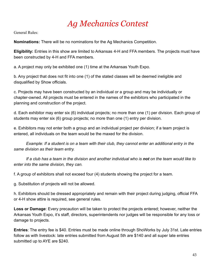## *Ag Mechanics Contest*

General Rules:

**Nominations:** There will be no nominations for the Ag Mechanics Competition.

**Eligibility:** Entries in this show are limited to Arkansas 4-H and FFA members. The projects must have been constructed by 4-H and FFA members.

a. A project may only be exhibited one (1) time at the Arkansas Youth Expo.

b. Any project that does not fit into one (1) of the stated classes will be deemed ineligible and disqualified by Show officials.

c. Projects may have been constructed by an individual or a group and may be individually or chapter-owned. All projects must be entered in the names of the exhibitors who participated in the planning and construction of the project.

d. Each exhibitor may enter six (6) individual projects; no more than one (1) per division. Each group of students may enter six (6) group projects; no more than one (1) entry per division.

e. Exhibitors may not enter both a group and an individual project per division; if a team project is entered, all individuals on the team would be the maxed for the division.

*Example: If a student is on a team with their club, they cannot enter an additional entry in the same division as their team entry.*

*If a club has a team in the division and another individual who is not on the team would like to enter into the same division, they can.*

f. A group of exhibitors shall not exceed four (4) students showing the project for a team.

g. Substitution of projects will not be allowed.

h. Exhibitors should be dressed appropriately and remain with their project during judging, official FFA or 4-H show attire is required, see general rules.

**Loss or Damage**: Every precaution will be taken to protect the projects entered; however, neither the Arkansas Youth Expo, it's staff, directors, superintendents nor judges will be responsible for any loss or damage to projects.

**Entries**: The entry fee is \$40. Entries must be made online through ShoWorks by July 31st. Late entries follow as with livestock: late entries submitted from August 5th are \$140 and all super late entries submitted up to AYE are \$240.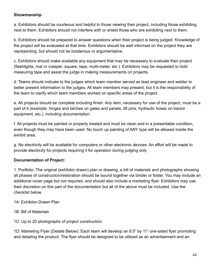### **Showmanship**

a. Exhibitors should be courteous and helpful to those viewing their project, including those exhibiting next to them. Exhibitors should not interfere with or shield those who are exhibiting next to them.

b. Exhibitors should be prepared to answer questions when their project is being judged. Knowledge of the project will be evaluated at that time. Exhibitors should be well informed on the project they are representing, but should not be boisterous or argumentative.

c. Exhibitors should make available any equipment that may be necessary to evaluate their project (flashlights, mat or creeper, square, tape, multi-meter, etc.). Exhibitors may be requested to hold measuring tape and assist the judge in making measurements on projects.

d. Teams should indicate to the judges which team member served as lead engineer and welder to better present information to the judges. All team members may present, but it is the responsibility of the team to clarify which team members worked on specific areas of the project.

e. All projects should be complete including finish. Any item, necessary for use of the project, must be a part of it (example: hinges and latches on gates and panels, lift pins, hydraulic hoses on tractor equipment, etc.), including documentation.

f. All projects must be painted or properly treated and must be clean and in a presentable condition, even though they may have been used. No touch up painting of ANY type will be allowed inside the exhibit area.

g. No electricity will be available for computers or other electronic devices. An effort will be made to provide electricity for projects requiring it for operation during judging only

### **Documentation of Project:**

1. Portfolio: The original (exhibitor drawn) plan or drawing, a bill of materials and photographs showing all phases of construction/restoration should be bound together via binder or folder. You may include an additional cover page but not required, and should also include a marketing flyer. Exhibitors may use their discretion on this part of the documentation but all of the above must be included. Use the checklist below

- 1A: Exhibitor-Drawn Plan
- 1B: Bill of Materials
- 1C: Up to 20 photographs of project construction

1D: Marketing Flyer (Details Below): Each team will develop an 8.5" by 11" one-sided flyer promoting and detailing the product. The flyer should be designed to be utilized as an advertisement and an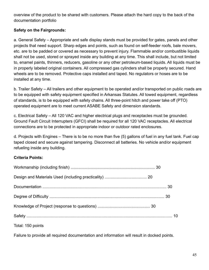overview of the product to be shared with customers. Please attach the hard copy to the back of the documentation portfolio

### **Safety on the Fairgrounds:**

a. General Safety – Appropriate and safe display stands must be provided for gates, panels and other projects that need support. Sharp edges and points, such as found on self-feeder roofs, bale movers, etc. are to be padded or covered as necessary to prevent injury. Flammable and/or combustible liquids shall not be used, stored or sprayed inside any building at any time. This shall include, but not limited to, enamel paints, thinners, reducers, gasoline or any other petroleum-based liquids. All liquids must be in properly labeled original containers. All compressed gas cylinders shall be properly secured. Hand wheels are to be removed. Protective caps installed and taped. No regulators or hoses are to be installed at any time.

b. Trailer Safety – All trailers and other equipment to be operated and/or transported on public roads are to be equipped with safety equipment specified in Arkansas Statutes. All towed equipment, regardless of standards, is to be equipped with safety chains. All three-point hitch and power take off (PTO) operated equipment are to meet current ASABE Safety and dimension standards.

c. Electrical Safety – All 120 VAC and higher electrical plugs and receptacles must be grounded. Ground Fault Circuit Interrupters (GFCI) shall be required for all 120 VAC receptacles. All electrical connections are to be protected in appropriate indoor or outdoor rated enclosures.

d. Projects with Engines – There is to be no more than five (5) gallons of fuel in any fuel tank. Fuel cap taped closed and secure against tampering. Disconnect all batteries. No vehicle and/or equipment refueling inside any building.

### **Criteria Points:**

| Total: 150 points |  |
|-------------------|--|

Failure to provide all required documentation and information will result in docked points.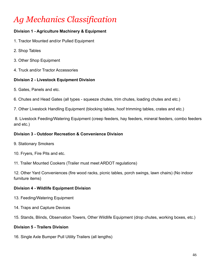## *Ag Mechanics Classification*

### **Division 1 - Agriculture Machinery & Equipment**

- 1. Tractor Mounted and/or Pulled Equipment
- 2. Shop Tables
- 3. Other Shop Equipment
- 4. Truck and/or Tractor Accessories

### **Division 2 - Livestock Equipment Division**

- 5. Gates, Panels and etc.
- 6. Chutes and Head Gates (all types squeeze chutes, trim chutes, loading chutes and etc.)
- 7. Other Livestock Handling Equipment (blocking tables, hoof trimming tables, crates and etc.)

8. Livestock Feeding/Watering Equipment (creep feeders, hay feeders, mineral feeders, combo feeders and etc.)

### **Division 3 - Outdoor Recreation & Convenience Division**

- 9. Stationary Smokers
- 10. Fryers, Fire Pits and etc.

11. Trailer Mounted Cookers (Trailer must meet ARDOT regulations)

12. Other Yard Conveniences (fire wood racks, picnic tables, porch swings, lawn chairs) (No indoor furniture items)

### **Division 4 - Wildlife Equipment Division**

- 13. Feeding/Watering Equipment
- 14. Traps and Capture Devices
- 15. Stands, Blinds, Observation Towers, Other Wildlife Equipment (drop chutes, working boxes, etc.)

#### **Division 5 - Trailers Division**

16. Single Axle Bumper Pull Utility Trailers (all lengths)